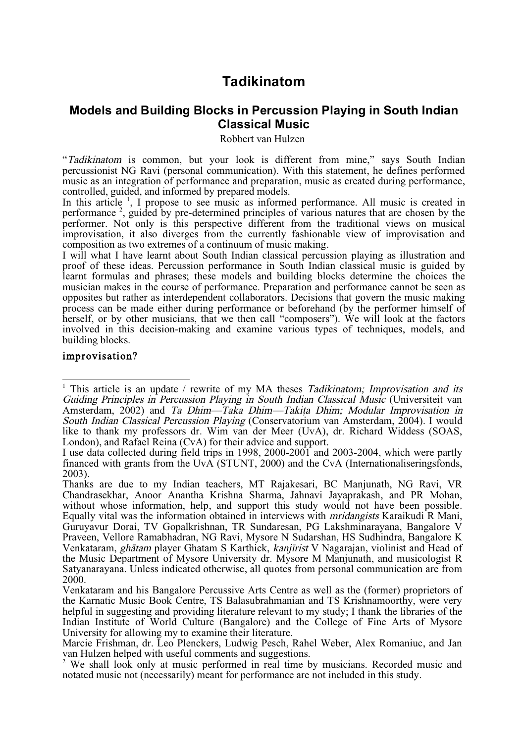# **Tadikinatom**

## **Models and Building Blocks in Percussion Playing in South Indian Classical Music**

Robbert van Hulzen

"Tadikinatom is common, but your look is different from mine," says South Indian percussionist NG Ravi (personal communication). With this statement, he defines performed music as an integration of performance and preparation, music as created during performance, controlled, guided, and informed by prepared models.<br>In this article <sup>1</sup>, I propose to see music as informed performance. All mus

performance  $2$ , guided by pre-determined principles of various natures that are chosen by the performer. Not only is this perspective different from the traditional views on musical improvisation, it also diverges from the currently fashionable view of improvisation and

composition as two extremes of <sup>a</sup> continuum of music making. <sup>I</sup> will what <sup>I</sup> have learnt about South Indian classical percussion playing as illustration and proof of these ideas. Percussion performance in South Indian classical music is guided by learnt formulas and phrases; these models and building blocks determine the choices the musician makes in the course of performance. Preparation and performance cannot be seen as opposites but rather as interdependent collaborators. Decisions that govern the music making process can be made either during performance or beforehand (by the performer himself of herself, or by other musicians, that we then call "composers"). We will look at the factors involved in this decision-making and examine various types of techniques, models, and building blocks.

## improvisation?

<sup>&</sup>lt;sup>1</sup> This article is an update / rewrite of my MA theses *Tadikinatom; Improvisation and its* Guiding Principles in Percussion Playing in South Indian Classical Music (Universiteit van Amsterdam, 2002) and Ta Dhim—Taka Dhim—Takita Dhim; Modular Improvisation in South Indian Classical Percussion Playing (Conservatorium van Amsterdam, 2004). I would like to thank my professors dr. Wim van der Meer (UvA), dr. Richard Widdess (SOAS, London), and Rafael Reina (CvA) for their advice and support.

I use data collected during field trips in 1998, 2000-2001 and 2003-2004, which were partly financed with grants from the UvA (STUNT, 2000) and the CvA (Internationaliseringsfonds, financed With grants from the UVA (STUNT). Thanks are due to my Indian teachers, MT Rajakesari, BC Manjunath, NG Ravi, VR

Chandrasekhar, Anoor Anantha Krishna Sharma, Jahnavi Jayaprakash, and PR Mohan, without whose information, help, and support this study would not have been possible. Equally vital was the information obtained in interviews with *mridangists* Karaikudi R Mani, Guruyavur Dorai, TV Gopalkrishnan, TR Sundaresan, PG Lakshminarayana, Bangalore V Praveen, Vellore Ramabhadran, NG Ravi, Mysore N Sudarshan, HS Sudhindra, Bangalore K Venkataram, ghātam player Ghatam S Karthick, kanjīrist V Nagarajan, violinist and Head of the Music Department of Mysore University dr. Mysore M Manjunath, and musicologist R Satyanarayana. Unless indicated otherwise, all quotes from personal communication are from 2000.

Venkataram and his Bangalore Percussive Arts Centre as well as the (former) proprietors of the Karnatic Music Book Centre, TS Balasubrahmanian and TS Krishnamoorthy, were very helpful in suggesting and providing literature relevant to my study; I thank the libraries of the Indian Institute of World Culture (Bangalore) and the College of Fine Arts of Mysore University for allowing my to examine their literature.

Marcie Frishman, dr. Leo Plenckers, Ludwig Pesch, Rahel Weber, Alex Romaniuc, and Jan van Hulzen helped with useful comments and suggestions.

 $\alpha$ <sup>2</sup> We shall look only at music performed in real time by musicians. Recorded music and notated music not (necessarily) meant for performance are not included in this study.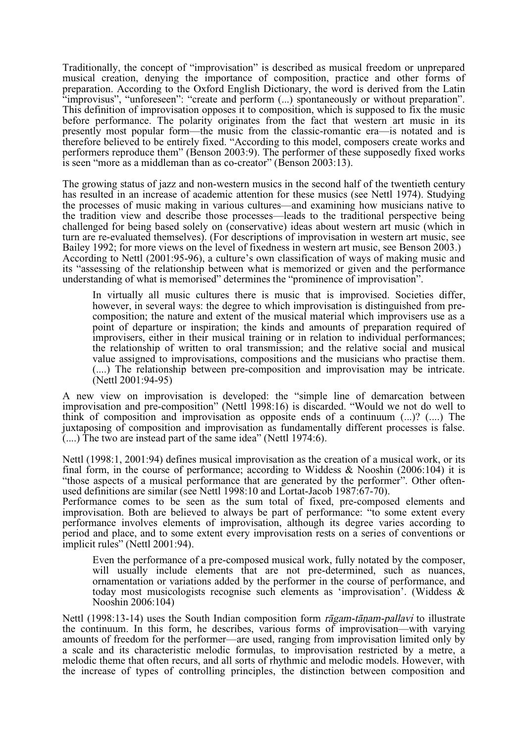Traditionally, the concept of "improvisation" is described as musical freedom or unprepared musical creation, denying the importance of composition, practice and other forms of preparation. According to the Oxford English Dictionary, the word is derived from the Latin "improvisus", "unforeseen": "create and perform (...) spontaneously or without preparation". This definition of improvisation opposes it to composition, which is supposed to fix the music before performance. The polarity originates from the fact that western art music in its presently most popular form—the music from the classic-romantic era—is notated and is therefore believed to be entirely fixed. "According to this model, composers create works and performers reproduce them" (Benson 2003:9). The performer of these supposedly fixed works is seen "more as a middleman than as co-creator" (Benson 2003:13).

The growing status of jazz and non-western musics in the second half of the twentieth century has resulted in an increase of academic attention for these musics (see Nettl 1974). Studying the processes of music making in various cultures—and examining how musicians native to the tradition view and describe those processes—leads to the traditional perspective being challenged for being based solely on (conservative) ideas about western art music (which in turn are re-evaluated themselves). (For descriptions of improvisation in western art music, see Bailey 1992; for more views on the level of fixedness in western art music, see Benson 2003.) According to Nettl (2001:95-96), a culture's own classification of ways of making music and its "assessing of the relationship between what is memorized or given and the performance understanding of what is memorised" determines the "prominence of improvisation".

In virtually all music cultures there is music that is improvised. Societies differ, however, in several ways: the degree to which improvisation is distinguished from precomposition; the nature and extent of the musical material which improvisers use as a point of departure or inspiration; the kinds and amounts of preparation required of improvisers, either in their musical training or in relation to individual performances; the relationship of written to oral transmission; and the relative social and musical value assigned to improvisations, compositions and the musicians who practise them. (....) The relationship between pre-composition and improvisation may be intricate. (Nettl 2001:94-95)

A new view on improvisation is developed: the "simple line of demarcation between improvisation and pre-composition" (Nettl 1998:16) is discarded. "Would we not do well to think of composition and improvisation as opposite ends of a continuum (...)? (....) The juxtaposing of composition and improvisation as fundamentally different processes is false. (....) The two are instead part of the same idea" (Nettl 1974:6).

Nettl (1998:1, 2001:94) defines musical improvisation as the creation of a musical work, or its final form, in the course of performance; according to Widdess & Nooshin (2006:104) it is "those aspects of a musical performance that are generated by the performer". Other oftenused definitions are similar (see Nettl 1998:10 and Lortat-Jacob 1987:67-70).

Performance comes to be seen as the sum total of fixed, pre-composed elements and improvisation. Both are believed to always be part of performance: "to some extent every performance involves elements of improvisation, although its degree varies according to period and place, and to some extent every improvisation rests on a series of conventions or implicit rules" (Nettl 2001:94).

Even the performance of a pre-composed musical work, fully notated by the composer, will usually include elements that are not pre-determined, such as nuances, ornamentation or variations added by the performer in the cour today most musicologists recognise such elements as 'improvisation'. (Widdess & Nooshin 2006:104)

Nettl (1998:13-14) uses the South Indian composition form  $r\bar{a}gam-t\bar{a}nam-pallavi$  to illustrate the continuum. In this form, he describes, various forms of improvisation—with varying amounts of freedom for the performer—are used, ranging from improvisation limited only by a scale and its characteristic melodic formulas, to improvisation restricted by a metre, a melodic theme that often recurs, and all sorts of rhythmic and melodic models. However, with the increase of types of controlling principles, the distinction between composition and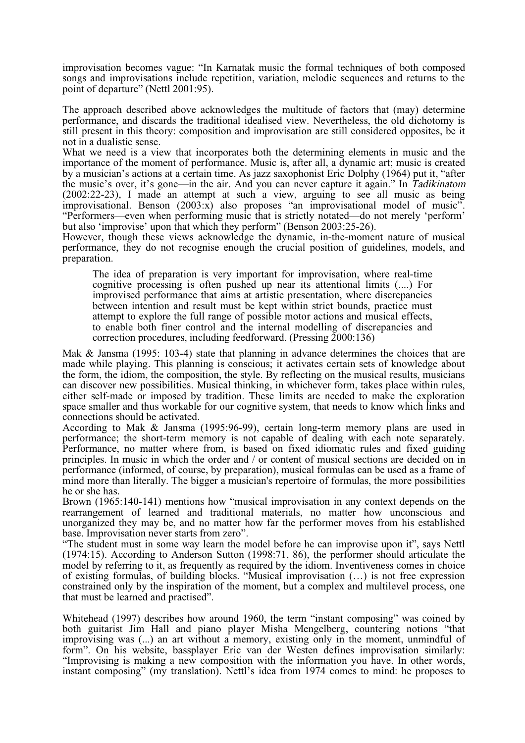improvisation becomes vague: "In Karnatak music the formal techniques of both composed songs and improvisations include repetition, variation, melodic sequences and returns to the point of departure" (Nettl 2001:95).

The approach described above acknowledges the multitude of factors that (may) determine performance, and discards the traditional idealised view. Nevertheless, the old dichotomy is still present in this theory: composition and improvisation are still considered opposites, be it not in a dualistic sense.

What we need is a view that incorporates both the determining elements in music and the importance of the moment of performance. Music is, after all, a dynamic art; music is created by a musician's actions at a certain time. As jazz saxophonist Eric Dolphy (1964) put it, "after the music's over, it's gone—in the air. And you can never capture it again." In Tadikinatom (2002:22-23), I made an attempt at such a view, arguing to see all music as being improvisational. Benson  $(2003:x)$  also proposes "an improvisational model of music". "Performers—even when performing music that is strictly notated—do not merely 'perform' but also 'improvise' upon that which they perform" (Benson 2003:25-26).

However, though these views acknowledge the dynamic, in-the-moment nature of musical performance, they do not recognise enough the crucial position of guidelines, models, and preparation.

The idea of preparation is very important for improvisation, where real-time cognitive processing is often pushed up near its attentional limits (....) For improvised performance that aims at artistic presentation, where discrepancies between intention and result must be kept within strict bounds, practice must attempt to explore the full range of possible motor actions and musical effects, to enable both finer control and the internal modelling of discrepancies and correction procedures, including feedforward. (Pressing 2000:136)

Mak & Jansma (1995: 103-4) state that planning in advance determines the choices that are made while playing. This planning is conscious; it activates certain sets of knowledge about the form, the idiom, the composition, the style. By reflecting on the musical results, musicians can discover new possibilities. Musical thinking, in whichever form, takes place within rules, either self-made or imposed by tradition. These limits are needed to make the exploration space smaller and thus workable for our cognitive system, that needs to know which links and connections should be activated.

According to Mak & Jansma (1995:96-99), certain long-term memory plans are used in performance; the short-term memory is not capable of dealing with each note separately. Performance, no matter where from, is based on fixed idiomatic rules and fixed guiding principles. In music in which the order and / or content of musical sections are decided on in performance (informed, of course, by preparation), musical formulas can be used as a frame of mind more than literally. The bigger a musician's repertoire of formulas, the more possibilities he or she has.

Brown (1965:140-141) mentions how "musical improvisation in any context depends on the rearrangement of learned and traditional materials, no matter how unconscious and unorganized they may be, and no matter how far the performer moves from his established

base. Improvisation never starts from zero".<br>"The student must in some way learn the model before he can improvise upon it", says Nettl (1974:15). According to Anderson Sutton (1998:71, 86), the performer should articulate the model by referring to it, as frequently as required by the idiom. Inventiveness comes in choice of existing formulas, of building blocks. "Musical improvisation (…) is not free expression constrained only by the inspiration of the moment, but a complex and multilevel process, one that must be learned and practised".

Whitehead (1997) describes how around 1960, the term "instant composing" was coined by both guitarist Jim Hall and piano player Misha Mengelberg, countering notions "that improvising was (...) an art without a memory, existing only in the moment, unmindful of form". On his website, bassplayer Eric van der Westen defines improvisation similarly: "Improvising is making a new composition with the information you have. In other words, instant composing" (my translation). Nettl's idea from 1974 comes to mind: he proposes to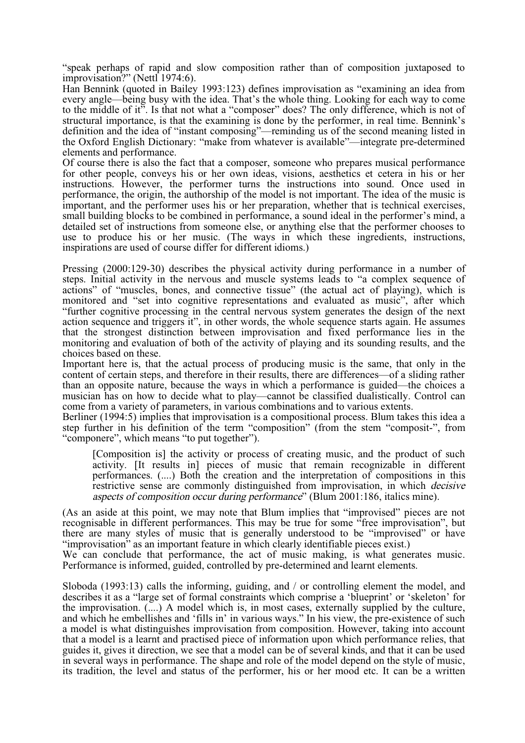"speak perhaps of rapid and slow composition rather than of composition juxtaposed to improvisation?" (Nettl 1974:6).

Han Bennink (quoted in Bailey 1993:123) defines improvisation as "examining an idea from every angle—being busy with the idea. That's the whole thing. Looking for each way to come to the middle of it". Is that not what a "composer" does? The only difference, which is not of structural importance, is that the examining is done by the performer, in real time. Bennink's definition and the idea of "instant composing"—reminding us of the second meaning listed in the Oxford English Dictionary: "make from whatever is available"—integrate pre-determined elements and performance.

Of course there is also the fact that a composer, someone who prepares musical performance for other people, conveys his or her own ideas, visions, aesthetics et cetera in his or her instructions. However, the performer turns the instructions into sound. Once used in performance, the origin, the authorship of the model is not important. The idea of the music is important, and the performer uses his or her preparation, whether that is technical exercises, small building blocks to be combined in performance, a sound ideal in the performer's mind, a detailed set of instructions from someone else, or anything else that the performer chooses to use to produce his or her music. (The ways in which these ingredients, instructions, inspirations are used of course differ for different idioms.)

Pressing (2000:129-30) describes the physical activity during performance in a number of steps. Initial activity in the nervous and muscle systems leads to "a complex sequence of actions" of "muscles, bones, and connective tissue" (the actual act of playing), which is monitored and "set into cognitive representations and evaluated as music", after which "further cognitive processing in the central nervous system generates the design of the next action sequence and triggers it", in other words, the whole sequence starts again. He assumes that the strongest distinction between improvisation and fixed performance lies in the monitoring and evaluation of both of the activity of playing and its sounding results, and the choices based on these.

Important here is, that the actual process of producing music is the same, that only in the content of certain steps, and therefore in their results, there are differences—of a sliding rather than an opposite nature, because the ways in which a performance is guided—the choices a musician has on how to decide what to play—cannot be classified dualistically. Control can come from a variety of parameters, in various combinations and to various extents.

Berliner (1994:5) implies that improvisation is a compositional process. Blum takes this idea a step further in his definition of the term "composition" (from the stem "composit-", from "componere", which means "to put together").

[Composition is] the activity or process of creating music, and the product of such activity. [It results in] pieces of music that remain recognizable in different performances. (....) Both the creation and the interpretation of compositions in this restrictive sense are commonly distinguished from improvisation, in which decisive aspects of composition occur during performance" (Blum 2001:186, italics mine).

(As an aside at this point, we may note that Blum implies that "improvised" pieces are not recognisable in different performances. This may be true for some "free improvisation", but there are many styles of music that is generally understood to be "improvised" or have "improvisation" as an important feature in which clearly identifiable pieces exist.)

We can conclude that performance, the act of music making, is what generates music. Performance is informed, guided, controlled by pre-determined and learnt elements.

Sloboda (1993:13) calls the informing, guiding, and / or controlling element the model, and describes it as a "large set of formal constraints which comprise a 'blueprint' or 'skeleton' for the improvisation. (....) A model which is, in most cases, externally supplied by the culture, and which he embellishes and 'fills in' in various ways." In his view, the pre-existence of such a model is what distinguishes improvisation from composition. However, taking into account that a model is a learnt and practised piece of information upon which performance relies, that guides it, gives it direction, we see that a model can be of several kinds, and that it can be used in several ways in performance. The shape and role of the model depend on the style of music, its tradition, the level and status of the performer, his or her mood etc. It can be a written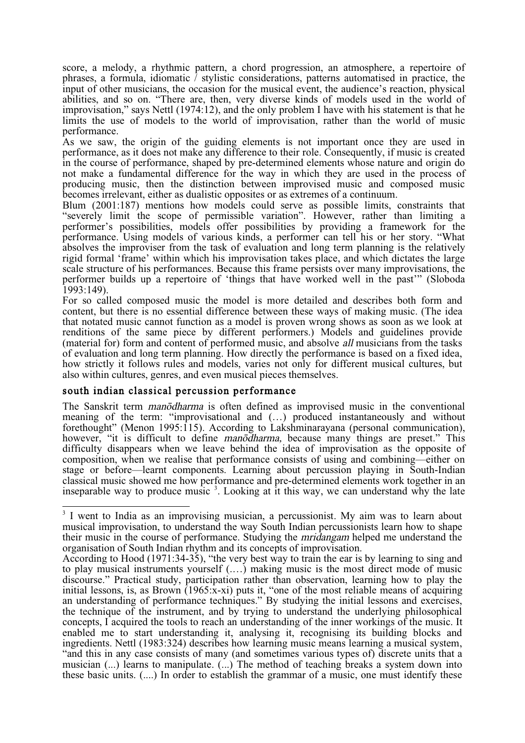score, a melody, a rhythmic pattern, a chord progression, an atmosphere, a repertoire of phrases, a formula, idiomatic  $\overline{\ell}$  stylistic considerations, patterns automatised in practice, the input of other musicians, the occasion for the musical event, the audience's reaction, physical abilities, and so on. "There are, then, very diverse kinds of models used in the world of improvisation," says Nettl (1974:12), and the only problem I have with his statement is that he limits the use of models to the world of improvisation, rather than the world of music performance.

As we saw, the origin of the guiding elements is not important once they are used in performance, as it does not make any difference to their role. Consequently, if music is created in the course of performance, shaped by pre-determined elements whose nature and origin do not make a fundamental difference for the way in which they are used in the process of producing music, then the distinction between improvised music and composed music becomes irrelevant, either as dualistic opposites or as extremes of a continuum.

Blum (2001:187) mentions how models could serve as possible limits, constraints that "severely limit the scope of permissible variation". However, rather than limiting a performer's possibilities, models offer possibilities by providing a framework for the performance. Using models of various kinds, a performer can tell his or her story. "What absolves the improviser from the task of evaluation and long term planning is the relatively rigid formal 'frame' within which his improvisation takes place, and which dictates the large scale structure of his performances. Because this frame persists over many improvisations, the performer builds up a repertoire of 'things that have worked well in the past'" (Sloboda  $1993:149$ ).

For so called composed music the model is more detailed and describes both form and content, but there is no essential difference between these ways of making music. (The idea that notated music cannot function as a model is proven wrong shows as soon as we look at renditions of the same piece by different performers.) Models and guidelines provide (material for) form and content of performed music, and absolve all musicians from the tasks of evaluation and long term planning. How directly the performance is based on a fixed idea, how strictly it follows rules and models, varies not only for different musical cultures, but also within cultures, genres, and even musical pieces themselves.

## south indian classical percussion performance

The Sanskrit term *manodharma* is often defined as improvised music in the conventional meaning of the term: "improvisational and (…) produced instantaneously and without forethought" (Menon 1995:115). According to Lakshminarayana (personal communication), however, "it is difficult to define manodharma, because many things are preset." This difficulty disappears when we leave behind the idea of improvisation as the opposite of composition, when we realise that performance consists of using and combining—either on stage or before—learnt components. Learning about percussion playing in South-Indian classical music showed me how performance and pre-determined elements work together in an inseparable way to produce music  $3$ . Looking at it this way, we can understand why the late

<sup>&</sup>lt;sup>3</sup> I went to India as an improvising musician, a percussionist. My aim was to learn about musical improvisation, to understand the way South Indian percussionists learn how to shape their music in the course of performance. Studying the mridangam helped me understand the organisation of South Indian rhythm and its concepts of improvisation.

According to Hood (1971:34-35), "the very best way to train the ear is by learning to sing and to play musical instruments yourself (.…) making music is the most direct mode of music discourse." Practical study, participation rather than observation, learning how to play the initial lessons, is, as Brown (1965:x-xi) puts it, "one of the most reliable means of acquiring an understanding of performance techniques." By studying the initial lessons and exercises, the technique of the instrument, and by trying to understand the underlying philosophical concepts, I acquired the tools to reach an understanding of the inner workings of the music. It enabled me to start understanding it, analysing it, recognising its building blocks and ingredients. Nettl (1983:324) describes how learning music means learning a musical system, "and this in any case consists of many (and sometimes various types of) discrete units that a musician (...) learns to manipulate. (...) The method of teaching breaks a system down into these basic units. (....) In order to establish the grammar of a music, one must identify these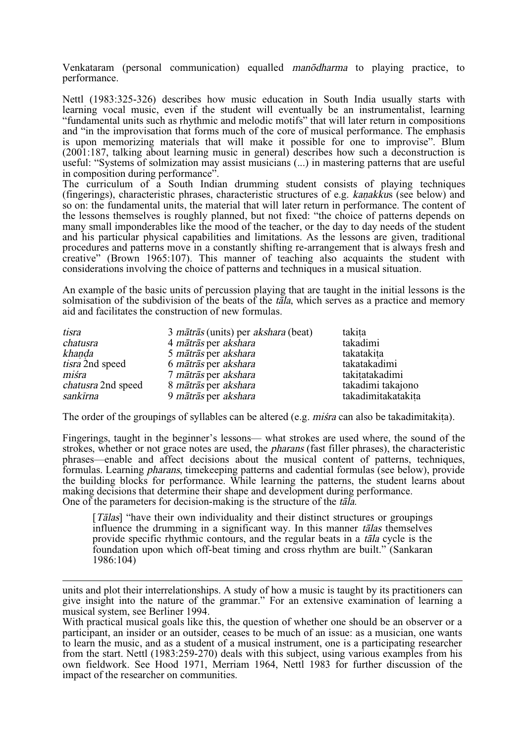Venkataram (personal communication) equalled manodharma to playing practice, to performance.

Nettl (1983:325-326) describes how music education in South India usually starts with learning vocal music, even if the student will eventually be an instrumentalist, learning "fundamental units such as rhythmic and melodic motifs" that will later return in compositions and "in the improvisation that forms much of the core of musical performance. The emphasis is upon memorizing materials that will make it possible for one to improvise". Blum (2001:187, talking about learning music in general) describes how such a deconstruction is useful: "Systems of solmization may assist musicians (...) in mastering patterns that are useful in composition during performance".

The curriculum of a South Indian drumming student consists of playing techniques (fingerings), characteristic phrases, characteristic structures of e.g. kanakkus (see below) and so on: the fundamental units, the material that will later return in performance. The content of the lessons themselves is roughly planned, but not fixed: "the choice of patterns depends on many small imponderables like the mood of the teacher, or the day to day needs of the student and his particular physical capabilities and limitations. As the lessons are given, traditional procedures and patterns move in a constantly shifting re-arrangement that is always fresh and creative" (Brown 1965:107). This manner of teaching also acquaints the student with considerations involving the choice of patterns and techniques in a musical situation.

An example of the basic units of percussion playing that are taught in the initial lessons is the solmisation of the subdivision of the beats of the  $t\overline{a}l$ a, which serves as a practice and memory aid and facilitates the construction of new formulas.

| tisra                     | 3 <i>mātrās</i> (units) per <i>akshara</i> (beat) | takita             |
|---------------------------|---------------------------------------------------|--------------------|
| chatusra                  | 4 mātrās per akshara                              | takadimi           |
| khanda                    | 5 mātrās per akshara                              | takatakita         |
| <i>tisra</i> 2nd speed    | 6 mātrās per akshara                              | takatakadimi       |
| miśra                     | 7 mātrās per akshara                              | takitatakadimi     |
| <i>chatusra</i> 2nd speed | 8 mātrās per akshara                              | takadimi takajono  |
| sankīrna                  | 9 mātrās per akshara                              | takadimitakatakita |

The order of the groupings of syllables can be altered (e.g. *mista* can also be takadimitakita).

Fingerings, taught in the beginner's lessons— what strokes are used where, the sound of the strokes, whether or not grace notes are used, the pharans (fast filler phrases), the characteristic phrases—enable and affect decisions about the musical content of patterns, techniques, formulas. Learning pharans, timekeeping patterns and cadential formulas (see below), provide the building blocks for performance. While learning the patterns, the student learns about making decisions that determine their shape and development during performance. One of the parameters for decision-making is the structure of the tåla.

[*Tālas*] "have their own individuality and their distinct structures or groupings influence the drumming in a significant way. In this manner talas themselves provide specific rhythmic contours, and the regular beats in a tåla cycle is the foundation upon which off-beat timing and cross rhythm are built." (Sankaran 1986:104)

 $\overline{a}$ units and plot their interrelationships. A study of how a music is taught by its practitioners can give insight into the nature of the grammar." For an extensive examination of learning a musical system, see Berliner 1994.

With practical musical goals like this, the question of whether one should be an observer or a participant, an insider or an outsider, ceases to be much of an issue: as a musician, one wants to learn the music, and as a student of a musical instrument, one is a participating researcher from the start. Nettl (1983:259-270) deals with this subject, using various examples from his own fieldwork. See Hood 1971, Merriam 1964, Nettl 1983 for further discussion of the impact of the researcher on communities.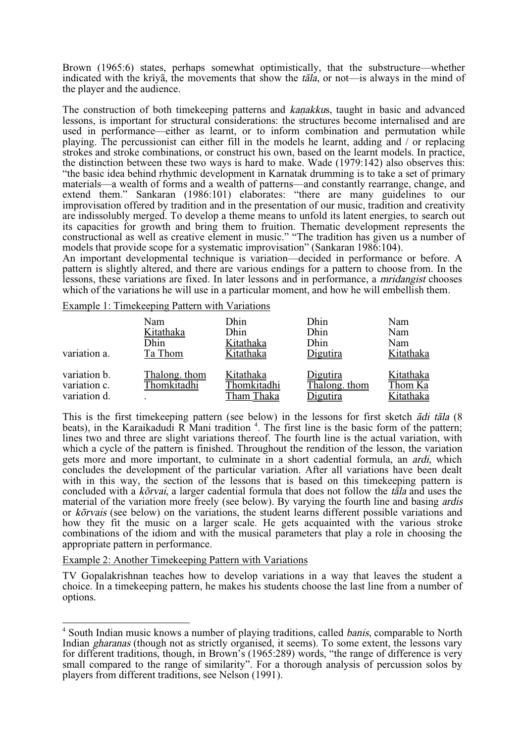Brown (1965:6) states, perhaps somewhat optimistically, that the substructure—whether indicated with the krīvā, the movements that show the tāla, or not—is always in the mind of the player and the audience.

The construction of both timekeeping patterns and kanakkus, taught in basic and advanced lessons, is important for structural considerations: the structures become internalised and are used in performance—either as learnt, or to inform combination and permutation while playing. The percussionist can either fill in the models he learnt, adding and / or replacing strokes and stroke combinations, or construct his own, based on the learnt models. In practice, the distinction between these two ways is hard to make. Wade (1979:142) also observes this: "the basic idea behind rhythmic development in Karnatak drumming is to take a set of primary materials—a wealth of forms and a wealth of patterns—and constantly rearrange, change, and extend them." Sankaran (1986:101) elaborates: "there are many guidelines to our improvisation offered by tradition and in the presentation of our music, tradition and creativity are indissolubly merged. To develop a theme means to unfold its latent energies, to search out its capacities for growth and bring them to fruition. Thematic development represents the constructional as well as creative element in music." "The tradition has given us a number of models that provide scope for a systematic improvisation" (Sankaran 1986:104).

An important developmental technique is variation—decided in performance or before. A pattern is slightly altered, and there are various endings for a pattern to choose from. In the lessons, these variations are fixed. In later lessons and in performance, a mridangist chooses which of the variations he will use in a particular moment, and how he will embellish them.

Example 1: Timekeeping Pattern with Variations

| variation a.                                 | Nam                          | Dhin                                   | Dhin                                        | Nam                               |
|----------------------------------------------|------------------------------|----------------------------------------|---------------------------------------------|-----------------------------------|
|                                              | Kitathaka                    | Dhin                                   | Dhin                                        | Nam                               |
|                                              | Dhin                         | Kitathaka                              | Dhin                                        | Nam                               |
|                                              | Ta Thom                      | Kitathaka                              | Digutira                                    | Kitathaka                         |
| variation b.<br>variation c.<br>variation d. | Thalong. thom<br>Thomkitadhi | Kitathaka<br>Thomkitadhi<br>Tham Thaka | <u>Digutira</u><br>Thalong. thom<br>igutira | Kitathaka<br>Thom Ka<br>Kitathaka |

This is the first timekeeping pattern (see below) in the lessons for first sketch ådi tåla (8 beats), in the Karaikadudi R Mani tradition  $4$ . The first line is the basic form of the pattern; lines two and three are slight variations thereof. The fourth line is the actual variation, with which a cycle of the pattern is finished. Throughout the rendition of the lesson, the variation gets more and more important, to culminate in a short cadential formula, an ardi, which concludes the development of the particular variation. After all variations have been dealt with in this way, the section of the lessons that is based on this timekeeping pattern is concluded with a *korvai*, a larger cadential formula that does not follow the tala and uses the material of the variation more freely (see below). By varying the fourth line and basing ardis or kØrvais (see below) on the variations, the student learns different possible variations and how they fit the music on a larger scale. He gets acquainted with the various stroke combinations of the idiom and with the musical parameters that play a role in choosing the appropriate pattern in performance.

#### Example 2: Another Timekeeping Pattern with Variations

TV Gopalakrishnan teaches how to develop variations in a way that leaves the student a choice. In a timekeeping pattern, he makes his students choose the last line from a number of options.

 $<sup>4</sup>$  South Indian music knows a number of playing traditions, called *banis*, comparable to North</sup> Indian *gharanas* (though not as strictly organised, it seems). To some extent, the lessons vary for different traditions, though, in Brown's (1965:289) words, "the range of difference is very small compared to the range of similarity". For a thorough analysis of percussion solos by players from different traditions, see Nelson (1991).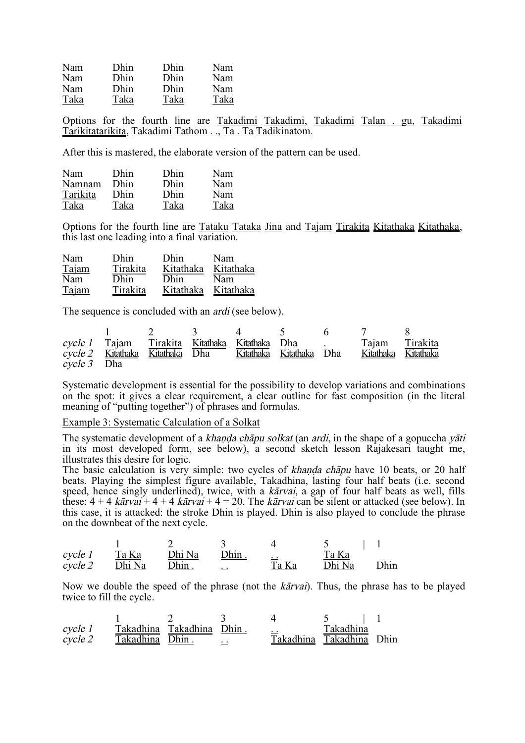| Nam  | Dhin | Dhin | Nam  |
|------|------|------|------|
| Nam  | Dhin | Dhin | Nam  |
| Nam  | Dhin | Dhin | Nam  |
| Taka | Taka | Taka | Taka |

Options for the fourth line are Takadimi Takadimi, Takadimi Talan . gu, Takadimi Tarikitatarikita, Takadimi Tathom . ., Ta . Ta Tadikinatom.

After this is mastered, the elaborate version of the pattern can be used.

| Nam      | Dhin | Dhin | Nam  |
|----------|------|------|------|
| Namnam   | Dhin | Dhin | Nam  |
| Tarikita | Dhin | Dhin | Nam  |
| Taka     | Taka | Taka | Taka |

Options for the fourth line are Tataku Tataka Jina and Tajam Tirakita Kitathaka Kitathaka, this last one leading into a final variation.

| Nam   | <b>Dhin</b> | Dhin      | Nam       |
|-------|-------------|-----------|-----------|
| Tajam | Tirakita    | Kitathaka | Kitathaka |
| Nam   | Dhin        | Dhin      | Nam       |
| Tajam | Tirakita    | Kitathaka | Kitathaka |

The sequence is concluded with an *ardi* (see below).

|             |                                                         |  |  | $\frac{1}{2}$ $\frac{3}{4}$ $\frac{4}{5}$ 6 7 8                     |  |
|-------------|---------------------------------------------------------|--|--|---------------------------------------------------------------------|--|
|             |                                                         |  |  | cycle 1 Tajam Tirakita Kitathaka Kitathaka Dha .     Tajam Tirakita |  |
|             | cycle 2 Kitathaka Kitathaka Dha Kitathaka Kitathaka Dha |  |  | <u>Kitathaka Kitathaka</u>                                          |  |
| cycle 3 Dha |                                                         |  |  |                                                                     |  |

Systematic development is essential for the possibility to develop variations and combinations on the spot: it gives a clear requirement, a clear outline for fast composition (in the literal meaning of "putting together") of phrases and formulas.

Example 3: Systematic Calculation of a Solkat

The systematic development of a khanda chāpu solkat (an ardi, in the shape of a gopuccha yāti in its most developed form, see below), a second sketch lesson Rajakesari taught me, illustrates this desire for logic.

The basic calculation is very simple: two cycles of khanda chāpu have 10 beats, or 20 half beats. Playing the simplest figure available, Takadhina, lasting four half beats (i.e. second speed, hence singly underlined), twice, with a kārvai, a gap of four half beats as well, fills these:  $4 + 4$  kārvai +  $4 + 4$  kārvai +  $4 = 20$ . The kārvai can be silent or attacked (see below). In this case, it is attacked: the stroke Dhin is played. Dhin is also played to conclude the phrase on the downbeat of the next cycle.

| cycle 1 | Ta Ka  | Dhi Na | Dhin.                | $\ddot{\phantom{0}}$ | Ta Ka  |      |
|---------|--------|--------|----------------------|----------------------|--------|------|
| cycle 2 | Dhi Na | Dhin.  | $\ddot{\phantom{0}}$ | Ta Ka                | Dhi Na | Dhin |

Now we double the speed of the phrase (not the *kativai*). Thus, the phrase has to be played twice to fill the cycle.

| cycle 1<br>cycle 2 | Takadhina Dhin. | Takadhina Takadhina Dhin. |           | $\cdot$ $\cdot$ | Takadhina<br>Takadhina Takadhina Dhin |  |
|--------------------|-----------------|---------------------------|-----------|-----------------|---------------------------------------|--|
|                    |                 |                           | $\cdot$ . |                 |                                       |  |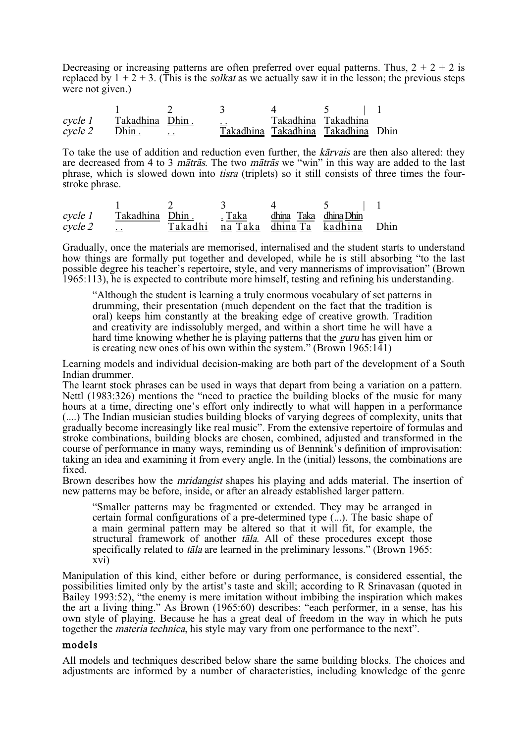Decreasing or increasing patterns are often preferred over equal patterns. Thus,  $2 + 2 + 2$  is replaced by  $1 + 2 + 3$ . (This is the *solkat* as we actually saw it in the lesson; the previous steps were not given.)

1 2 3 4 5 | 1 cycle 1  $\frac{\text{Takadhina}}{\text{Dhin}}$   $\frac{\text{Dhin}}{\text{Dham}}$   $\frac{\text{Lakadhina}}{\text{Dakadhina}}$   $\frac{\text{Takadhina}}{\text{Dakadhina}}$  Dhin  $\overline{cycle 2}$  Dhin . Takadhina Takadhina

To take the use of addition and reduction even further, the kårvais are then also altered: they are decreased from 4 to 3 *mātrās*. The two *mātrās* we "win" in this way are added to the last phrase, which is slowed down into tisra (triplets) so it still consists of three times the fourstroke phrase.

| cycle 1 | Takadhina Dhin. | <u>. Taka</u> | dhina Taka dhina Dhin            |       |
|---------|-----------------|---------------|----------------------------------|-------|
| cycle 2 |                 |               | Takadhi na Taka dhina Ta kadhina | Dhin. |

Gradually, once the materials are memorised, internalised and the student starts to understand how things are formally put together and developed, while he is still absorbing "to the last possible degree his teacher's repertoire, style, and very mannerisms of improvisation" (Brown 1965:113), he is expected to contribute more himself, testing and refining his understanding.

"Although the student is learning a truly enormous vocabulary of set patterns in drumming, their presentation (much dependent on the fact that the tradition is oral) keeps him constantly at the breaking edge of creative growth. Tradition and creativity are indissolubly merged, and within a short time he will have a hard time knowing whether he is playing patterns that the guru has given him or is creating new ones of his own within the system." (Brown 1965:141)

Learning models and individual decision-making are both part of the development of a South Indian drummer.

The learnt stock phrases can be used in ways that depart from being a variation on a pattern. Nettl (1983:326) mentions the "need to practice the building blocks of the music for many hours at a time, directing one's effort only indirectly to what will happen in a performance (....) The Indian musician studies building blocks of varying degrees of complexity, units that gradually become increasingly like real music". From the extensive repertoire of formulas and stroke combinations, building blocks are chosen, combined, adjusted and transformed in the course of performance in many ways, reminding us of Bennink's definition of improvisation: taking an idea and examining it from every angle. In the (initial) lessons, the combinations are fixed.

Brown describes how the *mridangist* shapes his playing and adds material. The insertion of new patterns may be before, inside, or after an already established larger pattern.

"Smaller patterns may be fragmented or extended. They may be arranged in certain formal configurations of a pre-determined type (...). The basic shape of a main germinal pattern may be altered so that it will fit, for example, the structural framework of another tåla. All of these procedures except those specifically related to *tāla* are learned in the preliminary lessons." (Brown 1965: xvi)

Manipulation of this kind, either before or during performance, is considered essential, the possibilities limited only by the artist's taste and skill; according to R Srinavasan (quoted in Bailey 1993:52), "the enemy is mere imitation without imbibing the inspiration which makes the art a living thing." As Brown (1965:60) describes: "each performer, in a sense, has his own style of playing. Because he has a great deal of freedom in the way in which he puts together the materia technica, his style may vary from one performance to the next".

#### models

All models and techniques described below share the same building blocks. The choices and adjustments are informed by a number of characteristics, including knowledge of the genre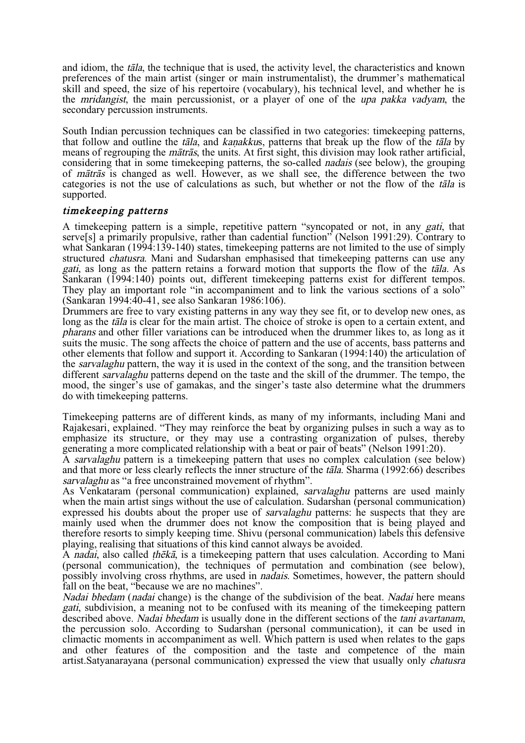and idiom, the  $t\bar{a}l\bar{a}$ , the technique that is used, the activity level, the characteristics and known preferences of the main artist (singer or main instrumentalist), the drummer's mathematical skill and speed, the size of his repertoire (vocabulary), his technical level, and whether he is the mridangist, the main percussionist, or a player of one of the upa pakka vadyam, the secondary percussion instruments.

South Indian percussion techniques can be classified in two categories: timekeeping patterns, that follow and outline the tāla, and kanakkus, patterns that break up the flow of the tāla by means of regrouping the  $m\bar{a}tr\bar{a}s$ , the units. At first sight, this division may look rather artificial, considering that in some timekeeping patterns, the so-called nadais (see below), the grouping of måtrås is changed as well. However, as we shall see, the difference between the two categories is not the use of calculations as such, but whether or not the flow of the tåla is supported.

## timekeeping patterns

A timekeeping pattern is a simple, repetitive pattern "syncopated or not, in any gati, that servels] a primarily propulsive, rather than cadential function" (Nelson 1991:29). Contrary to what Sankaran (1994:139-140) states, timekeeping patterns are not limited to the use of simply structured chatusra. Mani and Sudarshan emphasised that timekeeping patterns can use any gati, as long as the pattern retains a forward motion that supports the flow of the tåla. As Sankaran (1994:140) points out, different timekeeping patterns exist for different tempos.<br>They play an important role "in accompaniment and to link the various sections of a solo" (Sankaran 1994:40-41, see also Sankaran 1986:106).

Drummers are free to vary existing patterns in any way they see fit, or to develop new ones, as long as the *tāla* is clear for the main artist. The choice of stroke is open to a certain extent, and pharans and other filler variations can be introduced when the drummer likes to, as long as it suits the music. The song affects the choice of pattern and the use of accents, bass patterns and other elements that follow and support it. According to Sankaran (1994:140) the articulation of the *sarvalaghu* pattern, the way it is used in the context of the song, and the transition between different *sarvalaghu* patterns depend on the taste and the skill of the drummer. The tempo, the mood, the singer's use of gamakas, and the singer's taste also determine what the drummers do with timekeeping patterns.

Timekeeping patterns are of different kinds, as many of my informants, including Mani and Rajakesari, explained. "They may reinforce the beat by organizing pulses in such a way as to emphasize its structure, or they may use a contrasting organization of pulses, thereby generating a more complicated relationship with a beat or pair of beats" (Nelson 1991:20).

A sarvalaghu pattern is a timekeeping pattern that uses no complex calculation (see below) and that more or less clearly reflects the inner structure of the tåla. Sharma (1992:66) describes sarvalaghu as "a free unconstrained movement of rhythm".

As Venkataram (personal communication) explained, sarvalaghu patterns are used mainly when the main artist sings without the use of calculation. Sudarshan (personal communication) expressed his doubts about the proper use of *sarvalaghu* patterns: he suspects that they are mainly used when the drummer does not know the composition that is being played and therefore resorts to simply keeping time. Shivu (personal communication) labels this defensive playing, realising that situations of this kind cannot always be avoided.

A nadai, also called *theka*, is a timekeeping pattern that uses calculation. According to Mani (personal communication), the techniques of permutation and combination (see below), possibly involving cross rhythms, are used in nadais. Sometimes, however, the pattern should fall on the beat, "because we are no machines".

Nadai bhedam (nadai change) is the change of the subdivision of the beat. Nadai here means gati, subdivision, a meaning not to be confused with its meaning of the timekeeping pattern described above. *Nadai bhedam* is usually done in the different sections of the *tani avartanam*, the percussion solo. According to Sudarshan (personal communication), it can be used in climactic moments in accompaniment as well. Which pattern is used when relates to the gaps and other features of the composition and the taste and competence of the main artist.Satyanarayana (personal communication) expressed the view that usually only chatusra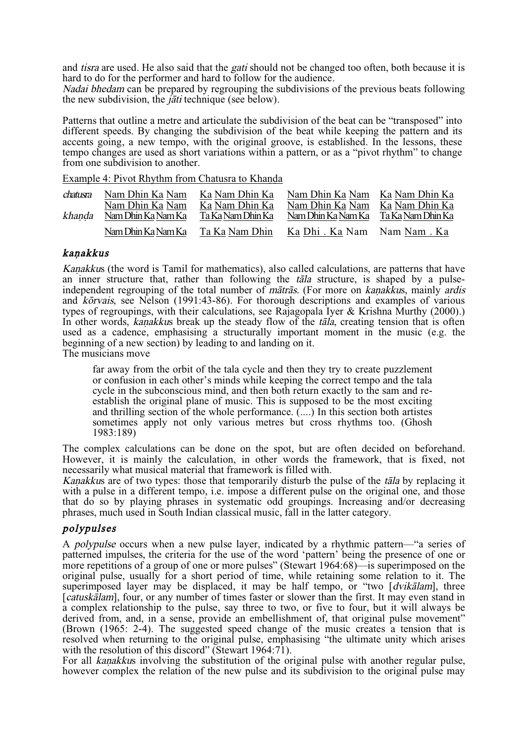and *tisra* are used. He also said that the *gati* should not be changed too often, both because it is hard to do for the performer and hard to follow for the audience.

Nadai bhedam can be prepared by regrouping the subdivisions of the previous beats following the new subdivision, the *jati* technique (see below).

Patterns that outline a metre and articulate the subdivision of the beat can be "transposed" into different speeds. By changing the subdivision of the beat while keeping the pattern and its accents going, a new tempo, with the original groove, is established. In the lessons, these tempo changes are used as short variations within a pattern, or as a "pivot rhythm" to change from one subdivision to another.

Example 4: Pivot Rhythm from Chatusra to Khanda

| chatusra<br>khanda | Nam Dhin Ka Nam<br>Nam Dhin Ka Nam<br>Nam Dhin Ka Nam Ka | Ka Nam Dhin Ka<br>Ka Nam Dhin Ka<br>Ta Ka Nam Dhin Ka | Nam Dhin Ka Nam<br>Nam Dhin Ka Nam<br>Nam Dhin Ka Nam Ka | Ka Nam Dhin Ka<br>Ka Nam Dhin Ka<br>Ta Ka Nam Dhin Ka |
|--------------------|----------------------------------------------------------|-------------------------------------------------------|----------------------------------------------------------|-------------------------------------------------------|
|                    | Nam Dhin Ka Nam Ka                                       | Ta Ka Nam Dhin                                        | Ka Dhi . Ka Nam Nam Nam . Ka                             |                                                       |

## kanakkus

Kanakkus (the word is Tamil for mathematics), also called calculations, are patterns that have an inner structure that, rather than following the *tāla* structure, is shaped by a pulse-<br>independent regrouping of the total number of *mātrās*. (For more on kanakkus, mainly ardis and korvais, see Nelson (1991:43-86). For thorough descriptions and examples of various types of regroupings, with their calculations, see Rajagopala Iyer & Krishna Murthy (2000).) In other words, kanakkus break up the steady flow of the  $t\bar{a}l\bar{a}$ , creating tension that is often used as a cadence, emphasising a structurally important moment in the music (e.g. the beginning of a new section) by leading to and landing on it.

The musicians move

far away from the orbit of the tala cycle and then they try to create puzzlement or confusion in each other's minds while keeping the correct tempo and the tala cycle in the subconscious mind, and then both return exactly to the sam and reestablish the original plane of music. This is supposed to be the most exciting and thrilling section of the whole performance.  $(\dots)$  In this section both artistes sometimes apply not only various metres but cross rhythms too. (Ghosh 1983:189)

The complex calculations can be done on the spot, but are often decided on beforehand. However, it is mainly the calculation, in other words the framework, that is fixed, not necessarily what musical material that framework is filled with.

Kanakkus are of two types: those that temporarily disturb the pulse of the tala by replacing it with a pulse in a different tempo, i.e. impose a different pulse on the original one, and those that do so by playing phrases in systematic odd groupings. Increasing and/or decreasing phrases, much used in South Indian classical music, fall in the latter category.

## polypulses

A polypulse occurs when a new pulse layer, indicated by a rhythmic pattern—"a series of patterned impulses, the criteria for the use of the word 'pattern' being the presence of one or more repetitions of a group of one or more pulses" (Stewart 1964:68)—is superimposed on the original pulse, usually for a short period of time, while retaining some relation to it. The superimposed layer may be displaced, it may be half tempo, or "two [dvikålam], three [*catuskalam*], four, or any number of times faster or slower than the first. It may even stand in a complex relationship to the pulse, say three to two, or five to four, but it will always be derived from, and, in a sense, provide an embellishment of, that original pulse movement" (Brown (1965: 2-4). The suggested speed change of the music creates a tension that is resolved when returning to the original pulse, emphasising "the ultimate unity which arises with the resolution of this discord" (Stewart 1964:71).

For all kanakkus involving the substitution of the original pulse with another regular pulse, however complex the relation of the new pulse and its subdivision to the original pulse may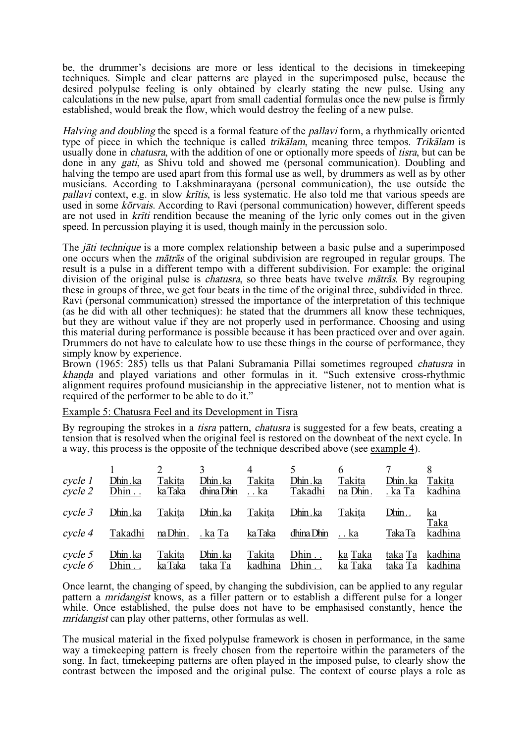be, the drummer's decisions are more or less identical to the decisions in timekeeping techniques. Simple and clear patterns are played in the superimposed pulse, because the desired polypulse feeling is only obtained by clearly stating the new pulse. Using any calculations in the new pulse, apart from small cadential formulas once the new pulse is firmly established, would break the flow, which would destroy the feeling of a new pulse.

Halving and doubling the speed is a formal feature of the *pallavi* form, a rhythmically oriented type of piece in which the technique is called *trikālam*, meaning three tempos. Trik*ālam* is usually done in *chatusra*, with the addition of one or optionally more speeds of *tisra*, but can be done in any *gati*, as Shivu told and showed me (personal communication). Doubling and halving the tempo are used apart from this formal use as well, by drummers as well as by other musicians. According to Lakshminarayana (personal communication), the use outside the pallavi context, e.g. in slow kritis, is less systematic. He also told me that various speeds are used in some *kõrvais*. According to Ravi (personal communication) however, different speeds are not used in *kriti* rendition because the meaning of the lyric only comes out in the given speed. In percussion playing it is used, though mainly in the percussion solo.

The *jäti technique* is a more complex relationship between a basic pulse and a superimposed one occurs when the måtrås of the original subdivision are regrouped in regular groups. The result is a pulse in a different tempo with a different subdivision. For example: the original division of the original pulse is *chatusra*, so three beats have twelve *matras*. By regrouping these in groups of three, we get four beats in the time of the original three, subdivided in three. Ravi (personal communication) stressed the importance of the interpretation of this technique (as he did with all other techniques): he stated that the drummers all know these techniques, but they are without value if they are not properly used in performance. Choosing and using this material during performance is possible because it has been practiced over and over again. Drummers do not have to calculate how to use these things in the course of performance, they simply know by experience.

Brown (1965: 285) tells us that Palani Subramania Pillai sometimes regrouped *chatusra* in khanda and played variations and other formulas in it. "Such extensive cross-rhythmic alignment requires profound musicianship in the appreciative listener, not to mention what is required of the performer to be able to do it."

#### Example 5: Chatusra Feel and its Development in Tisra

By regrouping the strokes in a *tisra* pattern, *chatusra* is suggested for a few beats, creating a tension that is resolved when the original feel is restored on the downbeat of the next cycle. In a way, this process is the opposite of the technique described above (see example 4).

| cycle 1 | Dhin.ka | Takita   | Dhin.ka    | Takita        | Dhin.ka    | Takita   | Dhin.ka | Takita            |
|---------|---------|----------|------------|---------------|------------|----------|---------|-------------------|
| cycle 2 | Dhin    | ka Taka  | dhina Dhin | <u>. . ka</u> | Takadhi    | na Dhin. | . ka Ta | kadhina           |
| cycle 3 | Dhin.ka | Takita   | Dhin.ka    | Takita        | Dhin.ka    | Takita   | Dhin    | <u>ka</u><br>Taka |
| cycle 4 | Takadhi | na Dhin. | . ka Ta    | ka Taka       | dhina Dhin | . . ka   | Taka Ta | kadhina           |
| cycle 5 | Dhin.ka | Takita   | Dhin.ka    | Takita        | Dhin       | ka Taka  | taka Ta | kadhina           |
| cycle 6 | Dhin    | ka Taka  | taka Ta    | kadhina       | Dhin       | ka Taka  | taka Ta | kadhina           |

Once learnt, the changing of speed, by changing the subdivision, can be applied to any regular pattern a mridangist knows, as a filler pattern or to establish a different pulse for a longer while. Once established, the pulse does not have to be emphasised constantly, hence the mridangist can play other patterns, other formulas as well.

The musical material in the fixed polypulse framework is chosen in performance, in the same way a timekeeping pattern is freely chosen from the repertoire within the parameters of the song. In fact, timekeeping patterns are often played in the imposed pulse, to clearly show the contrast between the imposed and the original pulse. The context of course plays a role as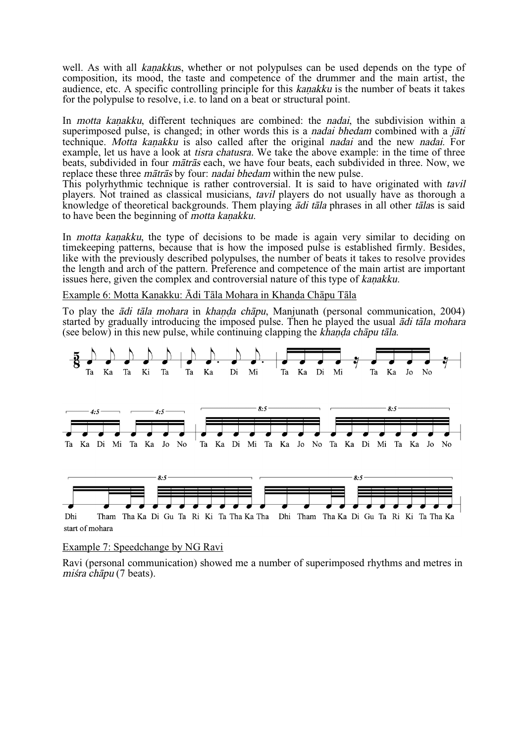well. As with all kanakkus, whether or not polypulses can be used depends on the type of composition, its mood, the taste and competence of the drummer and the main artist, the audience, etc. A specific controlling principle for this *kanakku* is the number of beats it takes for the polypulse to resolve, i.e. to land on a beat or structural point.

In *motta kanakku*, different techniques are combined: the *nadai*, the subdivision within a superimposed pulse, is changed; in other words this is a *nadai bhedam* combined with a *jati* technique. Motta kanakku is also called after the original nadai and the new nadai. For example, let us have a look at *tisra chatusra*. We take the above example: in the time of three beats, subdivided in four måtrås each, we have four beats, each subdivided in three. Now, we replace these three måtrås by four: nadai bhedam within the new pulse.

This polyrhythmic technique is rather controversial. It is said to have originated with *tavil* players. Not trained as classical musicians, tavil players do not usually have as thorough a knowledge of theoretical backgrounds. Them playing ådi tåla phrases in all other tålas is said to have been the beginning of *motta kanakku*.

In *motta kanakku*, the type of decisions to be made is again very similar to deciding on timekeeping patterns, because that is how the imposed pulse is established firmly. Besides, like with the previously described polypulses, the number of beats it takes to resolve provides the length and arch of the pattern. Preference and competence of the main artist are important issues here, given the complex and controversial nature of this type of *kanakku*.

Example 6: Motta Kanakku: Ādi Tāla Mohara in Khanda Chāpu Tāla

To play the *ādi tāla mohara* in *khanda chāpu*, Manjunath (personal communication, 2004) started by gradually introducing the imposed pulse. Then he played the usual *adi tala mohara* (see below) in this new pulse, while continuing clapping the khanda chapu tala.



#### Example 7: Speedchange by NG Ravi

Ravi (personal communication) showed me a number of superimposed rhythms and metres in miśra chāpu (7 beats).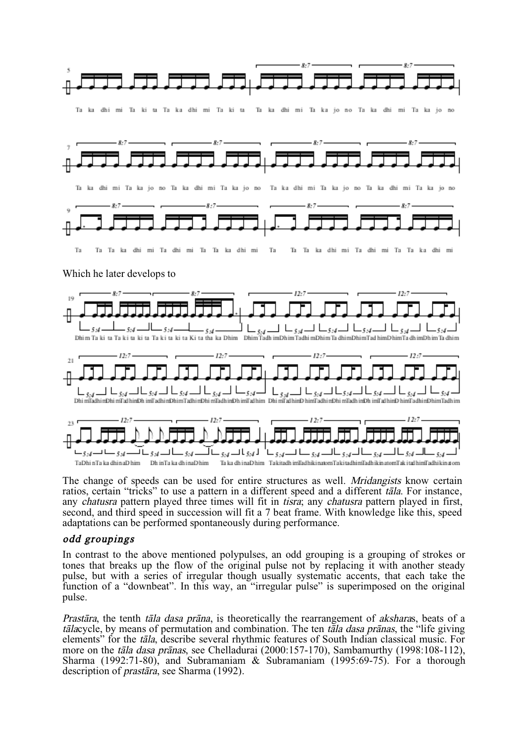

The change of speeds can be used for entire structures as well. *Mridangists* know certain ratios, certain "tricks" to use a pattern in a different speed and a different tåla. For instance, any *chatusra* pattern played three times will fit in *tisra*; any *chatusra* pattern played in first, second, and third speed in succession will fit a 7 beat frame. With knowledge like this, speed adaptations can be performed spontaneously during performance.

## odd groupings

In contrast to the above mentioned polypulses, an odd grouping is a grouping of strokes or tones that breaks up the flow of the original pulse not by replacing it with another steady pulse, but with a series of irregular though usually systematic accents, that each take the function of a "downbeat". In this way, an "irregular pulse" is superimposed on the original pulse.

Prastara, the tenth tala dasa prana, is theoretically the rearrangement of aksharas, beats of a tālacycle, by means of permutation and combination. The ten tāla dasa prānas, the "life giving elements" for the tåla, describe several rhythmic features of South Indian classical music. For more on the *tāla dasa prānas*, see Chelladurai (2000:157-170), Sambamurthy (1998:108-112), Sharma (1992:71-80), and Subramaniam & Subramaniam (1995:69-75). For a thorough description of praståra, see Sharma (1992).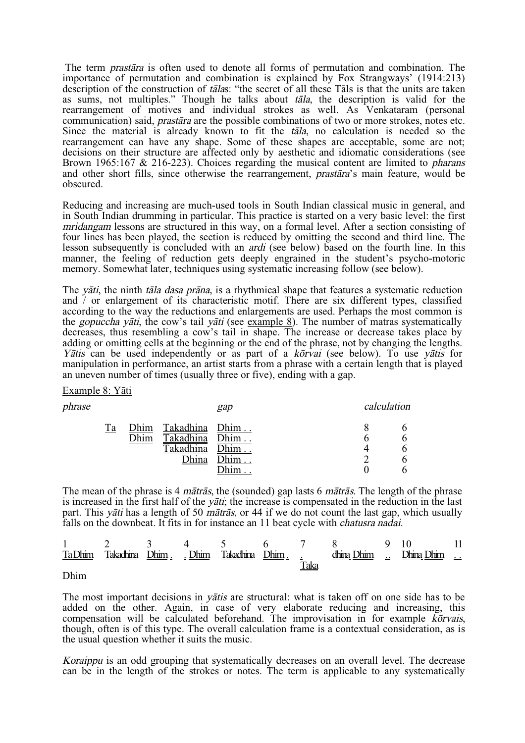The term praståra is often used to denote all forms of permutation and combination. The importance of permutation and combination is explained by Fox Strangways' (1914:213) description of the construction of talas: "the secret of all these Tals is that the units are taken as sums, not multiples." Though he talks about tåla, the description is valid for the rearrangement of motives and individual strokes as well. As Venkataram (personal communication) said, praståra are the possible combinations of two or more strokes, notes etc. Since the material is already known to fit the tåla, no calculation is needed so the rearrangement can have any shape. Some of these shapes are acceptable, some are not; decisions on their structure are affected only by aesthetic and idiomatic considerations (see Brown 1965:167 & 216-223). Choices regarding the musical content are limited to *pharans* and other short fills, since otherwise the rearrangement, praståra's main feature, would be obscured.

Reducing and increasing are much-used tools in South Indian classical music in general, and in South Indian drumming in particular. This practice is started on a very basic level: the first mridangam lessons are structured in this way, on a formal level. After a section consisting of four lines has been played, the section is reduced by omitting the second and third line. The lesson subsequently is concluded with an ardi (see below) based on the fourth line. In this manner, the feeling of reduction gets deeply engrained in the student's psycho-motoric memory. Somewhat later, techniques using systematic increasing follow (see below).

The *vati*, the ninth *tala dasa prana*, is a rhythmical shape that features a systematic reduction and / or enlargement of its characteristic motif. There are six different types, classified according to the way the reductions and enlargements are used. Perhaps the most common is the *gopuccha yāti*, the cow's tail *yāti* (see example 8). The number of matras systematically decreases, thus resembling a cow's tail in shape. The increase or decrease takes place by adding or omitting cells at the beginning or the end of the phrase, not by changing the lengths. Yātis can be used independently or as part of a kōrvai (see below). To use vātis for manipulation in performance, an artist starts from a phrase with a certain length that is played an uneven number of times (usually three or five), ending with a gap.

#### Example 8: Yåti

| phrase |    |              | calculation                                            |              |  |  |
|--------|----|--------------|--------------------------------------------------------|--------------|--|--|
|        | Тa | Dhim<br>Dhim | Takadhina Dhim<br>Takadhina Dhim<br>Takadhina<br>Dhina | Dhim<br>Dhim |  |  |

The mean of the phrase is 4 *mātrās*, the (sounded) gap lasts 6 *mātrās*. The length of the phrase is increased in the first half of the *yati*; the increase is compensated in the reduction in the last part. This *y* $\tilde{a}t$  has a length of 50 *matras*, or 44 if we do not count the last gap, which usually falls on the downbeat. It fits in for instance an 11 beat cycle with chatusra nadai.

|      |  |  |             | 1 2 3 4 5 6 7 8 9 10 11                                                                                                                                                                                                       |  |  |
|------|--|--|-------------|-------------------------------------------------------------------------------------------------------------------------------------------------------------------------------------------------------------------------------|--|--|
|      |  |  |             | Ta Dhim Takadhina Dhim Johim Takadhina Dhim dhim dhina Dhim Johim Johim Johim Johim Johim Johim Johim Johim Johim Johim Johim Johim Johim Johim Johim Johim Johim Johim Johim Johim Johim Johim Johim Johim Johim Johim Johim |  |  |
| Dhim |  |  | <u>Taka</u> |                                                                                                                                                                                                                               |  |  |

Dhim

The most important decisions in *yatis* are structural: what is taken off on one side has to be added on the other. Again, in case of very elaborate reducing and increasing, this compensation will be calculated beforehand. The improvisation in for example korvais, though, often is of this type. The overall calculation frame is a contextual consideration, as is the usual question whether it suits the music.

Koraippu is an odd grouping that systematically decreases on an overall level. The decrease can be in the length of the strokes or notes. The term is applicable to any systematically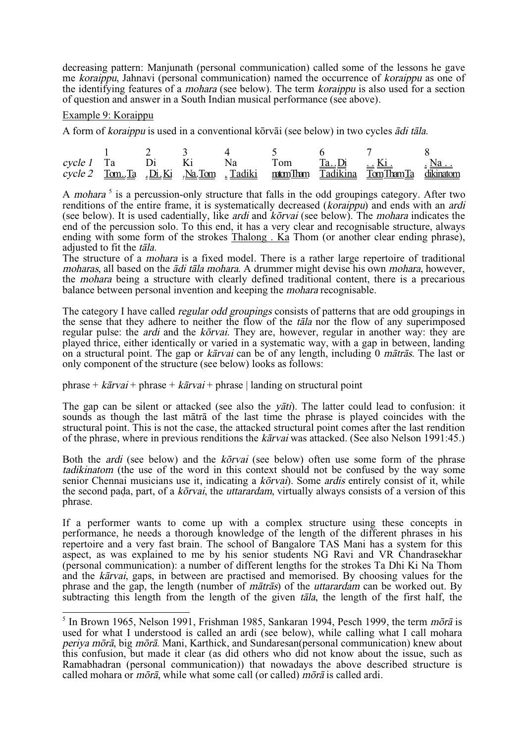decreasing pattern: Manjunath (personal communication) called some of the lessons he gave me koraippu, Jahnavi (personal communication) named the occurrence of koraippu as one of the identifying features of a *mohara* (see below). The term *koraippu* is also used for a section of question and answer in a South Indian musical performance (see above).

#### Example 9: Koraippu

A form of *koraippu* is used in a conventional kōrvāi (see below) in two cycles *ādi tāla*.

|  |  |  | cycle 1 Ta Di Ki Na Tom $\underline{\text{Ta}} \cdot \underline{\text{Di}}$ $\underline{\text{Ki}}$ $\underline{\text{Ki}}$ $\underline{\text{Na}} \cdot \underline{\text{Na}}$ |  |
|--|--|--|---------------------------------------------------------------------------------------------------------------------------------------------------------------------------------|--|
|  |  |  | cycle 2 Tom. Ta Di. Ki Na. Tom Tadiki natom Than Tadikina Tom Tham Ta dikinatom                                                                                                 |  |

A mohara<sup>5</sup> is a percussion-only structure that falls in the odd groupings category. After two renditions of the entire frame, it is systematically decreased (koraippu) and ends with an ardi (see below). It is used cadentially, like *ardi* and  $\overline{k\sigma}$ *rvai* (see below). The *mohara* indicates the end of the percussion solo. To this end, it has a very clear and recognisable structure, always ending with some form of the strokes Thalong. Ka Thom (or another clear ending phrase), adjusted to fit the tala.

The structure of a mohara is a fixed model. There is a rather large repertoire of traditional moharas, all based on the *ādi tāla mohara*. A drummer might devise his own *mohara*, however, the mohara being a structure with clearly defined traditional content, there is a precarious balance between personal invention and keeping the mohara recognisable.

The category I have called regular odd groupings consists of patterns that are odd groupings in the sense that they adhere to neither the flow of the tåla nor the flow of any superimposed regular pulse: the *ardi* and the *korvai*. They are, however, regular in another way: they are played thrice, either identically or varied in a systematic way, with a gap in between, landing on a structural point. The gap or *kārvai* can be of any length, including 0 *mātrās*. The last or only component of the structure (see below) looks as follows:

phrase +  $k\bar{a}rva\bar{i}$  + phrase +  $k\bar{a}rva\bar{i}$  + phrase | landing on structural point

The gap can be silent or attacked (see also the *yati*). The latter could lead to confusion: it sounds as though the last måtrå of the last time the phrase is played coincides with the structural point. This is not the case, the attacked structural point comes after the last rendition of the phrase, where in previous renditions the kårvai was attacked. (See also Nelson 1991:45.)

Both the *ardi* (see below) and the *korvai* (see below) often use some form of the phrase tadikinatom (the use of the word in this context should not be confused by the way some senior Chennai musicians use it, indicating a kōrvai). Some ardis entirely consist of it, while the second pada, part, of a *kōrvai*, the *uttarardam*, virtually always consists of a version of this phrase.

If a performer wants to come up with a complex structure using these concepts in performance, he needs a thorough knowledge of the length of the different phrases in his repertoire and a very fast brain. The school of Bangalore TAS Mani has a system for this aspect, as was explained to me by his senior students NG Ravi and VR Chandrasekhar (personal communication): a number of different lengths for the strokes Ta Dhi Ki Na Thom and the kårvai, gaps, in between are practised and memorised. By choosing values for the phrase and the gap, the length (number of måtrås) of the uttarardam can be worked out. By subtracting this length from the length of the given tala, the length of the first half, the

 $5$  In Brown 1965, Nelson 1991, Frishman 1985, Sankaran 1994, Pesch 1999, the term mora is used for what I understood is called an ardi (see below), while calling what I call mohara periya mØrå, big mØrå. Mani, Karthick, and Sundaresan(personal communication) knew about this confusion, but made it clear (as did others who did not know about the issue, such as Ramabhadran (personal communication)) that nowadays the above described structure is called mohara or *mõrā*, while what some call (or called)  $m\bar{o}r\bar{a}$  is called ardi.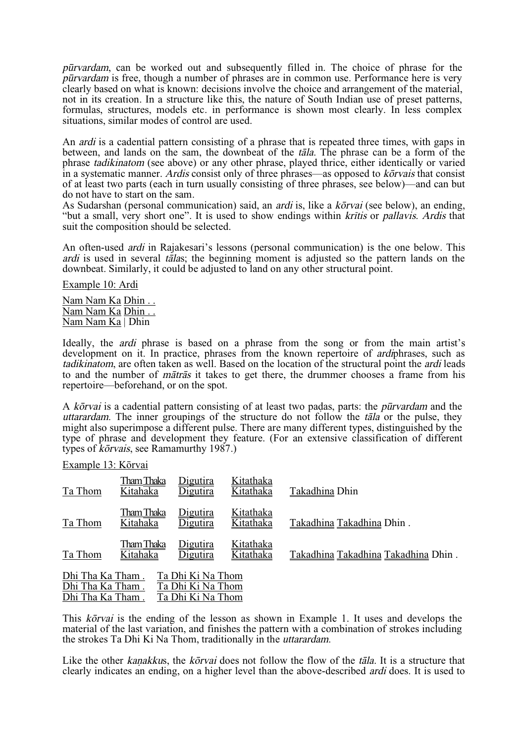pËrvardam, can be worked out and subsequently filled in. The choice of phrase for the pËrvardam is free, though a number of phrases are in common use. Performance here is very clearly based on what is known: decisions involve the choice and arrangement of the material, not in its creation. In a structure like this, the nature of South Indian use of preset patterns, formulas, structures, models etc. in performance is shown most clearly. In less complex situations, similar modes of control are used.

An ardi is a cadential pattern consisting of a phrase that is repeated three times, with gaps in between, and lands on the sam, the downbeat of the tåla. The phrase can be a form of the phrase tadikinatom (see above) or any other phrase, played thrice, either identically or varied in a systematic manner. Ardis consist only of three phrases—as opposed to  $k\bar{\sigma}$ rvais that consist of at least two parts (each in turn usually consisting of three phrases, see below)—and can but do not have to start on the sam.

As Sudarshan (personal communication) said, an *ardi* is, like a  $k\bar{\sigma}r$ *vai* (see below), an ending, "but a small, very short one". It is used to show endings within *kritis* or *pallavis. Ardis* that suit the composition should be selected.

An often-used *ardi* in Rajakesari's lessons (personal communication) is the one below. This ardi is used in several tålas; the beginning moment is adjusted so the pattern lands on the downbeat. Similarly, it could be adjusted to land on any other structural point.

Example 10: Ardi

Nam Nam Ka Dhin . . Nam Nam Ka Dhin . . Nam Nam Ka | Dhin

Ideally, the *ardi* phrase is based on a phrase from the song or from the main artist's development on it. In practice, phrases from the known repertoire of *ardiphrases*, such as tadikinatom, are often taken as well. Based on the location of the structural point the *ardi* leads to and the number of måtrås it takes to get there, the drummer chooses a frame from his repertoire—beforehand, or on the spot.

A kōrvai is a cadential pattern consisting of at least two padas, parts: the *pūrvardam* and the uttarardam. The inner groupings of the structure do not follow the tala or the pulse, they might also superimpose a different pulse. There are many different types, distinguished by the type of phrase and development they feature. (For an extensive classification of different types of *korvais*, see Ramamurthy 1987.)

Example 13: Kōrvai

| Ta Thom          | Tham Thaka<br>Kitahaka | <u>Digutira</u><br><b>Digutira</b> | Kitathaka<br>Kitathaka | Takadhina Dhin                      |
|------------------|------------------------|------------------------------------|------------------------|-------------------------------------|
| Ta Thom          | Tham Thaka<br>Kitahaka | Digutira<br>Jigutira               | Kitathaka<br>Kitathaka | Takadhina Takadhina Dhin.           |
| Ta Thom          | Tham Thaka<br>Kitahaka | <u>Digutira</u><br><b>Digutira</b> | Kitathaka<br>Kitathaka | Takadhina Takadhina Takadhina Dhin. |
| Dhi Tha Ka Tham. |                        | Ta Dhi Ki Na Thom                  |                        |                                     |
| Dhi Tha Ka Tham. |                        | Ta Dhi Ki Na Thom                  |                        |                                     |
| Dhi Tha Ka Tham. |                        | Ta Dhi Ki Na Thom                  |                        |                                     |

This korvai is the ending of the lesson as shown in Example 1. It uses and develops the material of the last variation, and finishes the pattern with a combination of strokes including the strokes Ta Dhi Ki Na Thom, traditionally in the uttarardam.

Like the other kanakkus, the k $\delta r$ vai does not follow the flow of the tala. It is a structure that clearly indicates an ending, on a higher level than the above-described ardi does. It is used to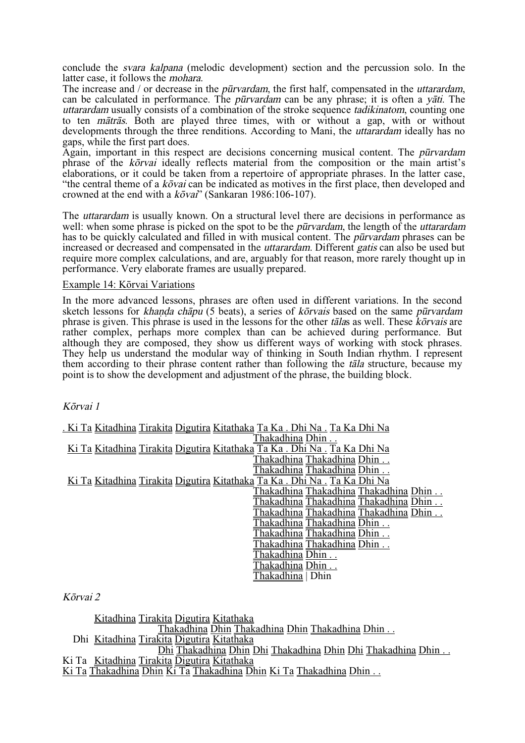conclude the svara kalpana (melodic development) section and the percussion solo. In the latter case, it follows the mohara.

The increase and / or decrease in the *pūrvardam*, the first half, compensated in the *uttarardam*, can be calculated in performance. The *pūrvardam* can be any phrase; it is often a *yati*. The uttarardam usually consists of a combination of the stroke sequence tadikinatom, counting one to ten måtrås. Both are played three times, with or without a gap, with or without developments through the three renditions. According to Mani, the *uttarardam* ideally has no gaps, while the first part does.

Again, important in this respect are decisions concerning musical content. The *pūrvardam* phrase of the  $k\bar{o}rva$  ideally reflects material from the composition or the main artist's elaborations, or it could be taken from a repertoire of appropriate phrases. In the latter case, "the central theme of a  $k\bar{\sigma}vai$  can be indicated as motives in the first place, then developed and crowned at the end with a  $k\bar{\sigma}$ vai'' (Sankaran 1986:106-107).

The uttarardam is usually known. On a structural level there are decisions in performance as well: when some phrase is picked on the spot to be the *pūrvardam*, the length of the *uttarardam* has to be quickly calculated and filled in with musical content. The *pūrvardam* phrases can be increased or decreased and compensated in the *uttarardam*. Different *gatis* can also be used but require more complex calculations, and are, arguably for that reason, more rarely thought up in performance. Very elaborate frames are usually prepared.

#### Example 14: Kōrvai Variations

In the more advanced lessons, phrases are often used in different variations. In the second sketch lessons for khanda chapu (5 beats), a series of korvais based on the same pūrvardam phrase is given. This phrase is used in the lessons for the other tallas as well. These  $\vec{k}$  orvals are rather complex, perhaps more complex than can be achieved during performance. But although they are composed, they show us different ways of working with stock phrases. They help us understand the modular way of thinking in South Indian rhythm. I represent them according to their phrase content rather than following the *tala* structure, because my point is to show the development and adjustment of the phrase, the building block.

## KØrvai 1

| . Ki Ta Kitadhina Tirakita Digutira Kitathaka Ta Ka . Dhi Na . Ta Ka Dhi Na |
|-----------------------------------------------------------------------------|
| Thakadhina Dhin                                                             |
| Ki Ta Kitadhina Tirakita Digutira Kitathaka Ta Ka . Dhi Na . Ta Ka Dhi Na   |
| Thakadhina Thakadhina Dhin                                                  |
| Thakadhina Thakadhina Dhin                                                  |
| Ki Ta Kitadhina Tirakita Digutira Kitathaka Ta Ka . Dhi Na . Ta Ka Dhi Na   |
| Thakadhina Thakadhina Thakadhina Dhin                                       |
| Thakadhina Thakadhina Thakadhina Dhin                                       |
| Thakadhina Thakadhina Thakadhina Dhin                                       |
| Thakadhina Thakadhina Dhin                                                  |
| Thakadhina Thakadhina Dhin                                                  |
| <u>Thakadhina Thakadhina</u> Dhin                                           |
| Thakadhina Dhin                                                             |
| Thakadhina Dhin                                                             |
| `hakadhina   Dhin                                                           |

## KØrvai 2

Kitadhina Tirakita Digutira Kitathaka Thakadhina Dhin Thakadhina Dhin Thakadhina Dhin . . Dhi Kitadhina Tirakita Digutira Kitathaka Dhi Thakadhina Dhin Dhi Thakadhina Dhin Dhi Thakadhina Dhin . . Ki Ta Kitadhina Tirakita Digutira Kitathaka Ki Ta Thakadhina Dhin Ki Ta Thakadhina Dhin Ki Ta Thakadhina Dhin . .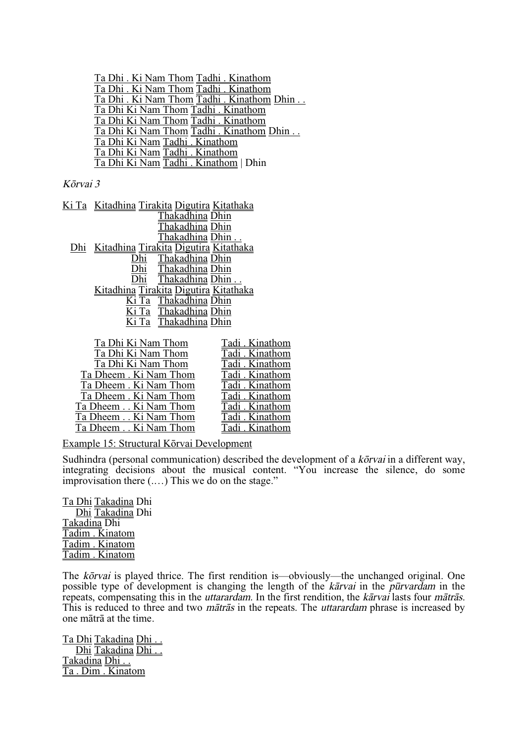Ta Dhi . Ki Nam Thom Tadhi . Kinathom Ta Dhi . Ki Nam Thom Tadhi . Kinathom Ta Dhi . Ki Nam Thom Tadhi . Kinathom Dhin . . Ta Dhi Ki Nam Thom Tadhi . Kinathom Ta Dhi Ki Nam Thom Tadhi . Kinathom Ta Dhi Ki Nam Thom Tadhi . Kinathom Dhin . . Ta Dhi Ki Nam Tadhi . Kinathom Ta Dhi Ki Nam Tadhi . Kinathom Ta Dhi Ki Nam Tadhi . Kinathom | Dhin

#### KØrvai 3

| <u>Ki Ta Kitadhina Tirakita Digutira Kitathaka</u> |
|----------------------------------------------------|
| Thakadhina Dhin                                    |
| Thakadhina Dhin                                    |
| Thakadhina Dhin                                    |
| Dhi Kitadhina Tirakita Digutira Kitathaka          |
| Dhi Thakadhina Dhin                                |
| Dhi Thakadhina Dhin                                |
| Dhi Thakadhina Dhin                                |
| Kitadhina Tirakita Digutira Kitathaka              |
| Ki Ta Thakadhina Dhin                              |
| Ki Ta Thakadhina Dhin                              |
| Ki Ta Thakadhina Dhin                              |
|                                                    |
| Ta Dhi Ki Nam Thom<br>Tadi . Kinathom              |
| $T_2$ Dhi Ki Nam Thom<br>Tadi Kinathom             |

| Ta Dhi Ki Nam Thom    | I acii . Iniathom |
|-----------------------|-------------------|
| Ta Dhi Ki Nam Thom    | Tadi . Kinathom   |
| Ta Dhi Ki Nam Thom    | Tadi . Kinathom   |
| Ta Dheem. Ki Nam Thom | Tadi . Kinathom   |
| Ta Dheem. Ki Nam Thom | Tadi . Kinathom   |
| Ta Dheem. Ki Nam Thom | Tadi . Kinathom   |
| Ta Dheem Ki Nam Thom  | Tadi . Kinathom   |
| Ta Dheem Ki Nam Thom  | Tadi . Kinathom   |
| Ta Dheem Ki Nam Thom  | Tadi. Kinathom    |
|                       |                   |

Example 15: Structural Kōrvai Development

Sudhindra (personal communication) described the development of a *korvai* in a different way, integrating decisions about the musical content. "You increase the silence, do some improvisation there (.…) This we do on the stage."

Ta Dhi Takadina Dhi Dhi Takadina Dhi Takadina Dhi Tadim . Kinatom Tadim . Kinatom Tadim . Kinatom

The kōrvai is played thrice. The first rendition is—obviously—the unchanged original. One possible type of development is changing the length of the karvai in the purvardam in the repeats, compensating this in the *uttarardam*. In the first rendition, the kārvai lasts four *mātrās*. This is reduced to three and two *mātrās* in the repeats. The *uttarardam* phrase is increased by one måtrå at the time.

Ta Dhi Takadina Dhi . . Dhi Takadina Dhi.. Takadina Dhi . . Ta . Dim . Kinatom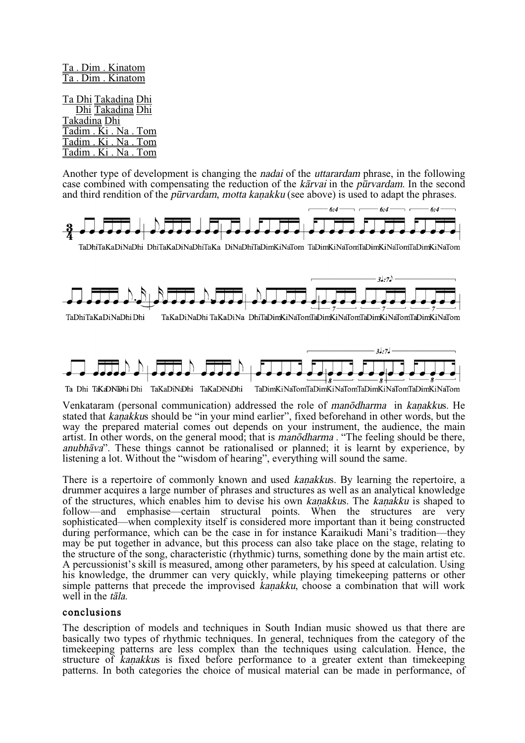Ta . Dim . Kinatom Ta . Dim . Kinatom

Ta Dhi Takadina Dhi Dhi Takadina Dhi Takadina Dhi Tadim . Ki . Na . Tom Tadim . Ki . Na . Tom Tadim . Ki . Na . Tom

Another type of development is changing the *nadai* of the *uttarardam* phrase, in the following case combined with compensating the reduction of the  $k\bar{a}r\bar{v}ai$  in the purvardam. In the second and third rendition of the *pūrvardam, motta kanakku* (see above) is used to adapt the phrases.



TaDhiTaKaDiNaDhi DhiTaKaDiNaDhiTaKa DiNaDhiTaDimKiNaTom TaDimKiNaTomTaDimKiNaTomTaDimKiNaTom





TaKaDiNaDhi TaKaDiNa DhiTaDimKiNaTomTaDimKiNaTomTaDimKiNaTomTaDimKiNaTom



TaDimKiNaTomTaDimKiNaTomTaDimKiNaTomTaDimKiNaTom Ta Dhi TaKaDNDhi Dhi TaKaDiNaDhi TaKaDiNaDhi

Venkataram (personal communication) addressed the role of manodharma in kanakkus. He stated that kanakkus should be "in your mind earlier", fixed beforehand in other words, but the way the prepared material comes out depends on your instrument, the audience, the main artist. In other words, on the general mood; that is *manodharma* . "The feeling should be there, anubhåva". These things cannot be rationalised or planned; it is learnt by experience, by listening a lot. Without the "wisdom of hearing", everything will sound the same.

There is a repertoire of commonly known and used *kanakkus*. By learning the repertoire, a drummer acquires a large number of phrases and structures as well as an analytical knowledge of the structures, which enables him to devise his own kanakkus. The kanakku is shaped to follow—and emphasise—certain structural points. When the structures are very sophisticated—when complexity itself is considered more important than it being constructed during performance, which can be the case in for instance Karaikudi Mani's tradition—they may be put together in advance, but this process can also take place on the stage, relating to the structure of the song, characteristic (rhythmic) turns, something done by the main artist etc. A percussionist's skill is measured, among other parameters, by his speed at calculation. Using his knowledge, the drummer can very quickly, while playing timekeeping patterns or other simple patterns that precede the improvised kanakku, choose a combination that will work well in the *tala*.

## conclusions

The description of models and techniques in South Indian music showed us that there are basically two types of rhythmic techniques. In general, techniques from the category of the timekeeping patterns are less complex than the techniques using calculation. Hence, the structure of kanakkus is fixed before performance to a greater extent than timekeeping patterns. In both categories the choice of musical material can be made in performance, of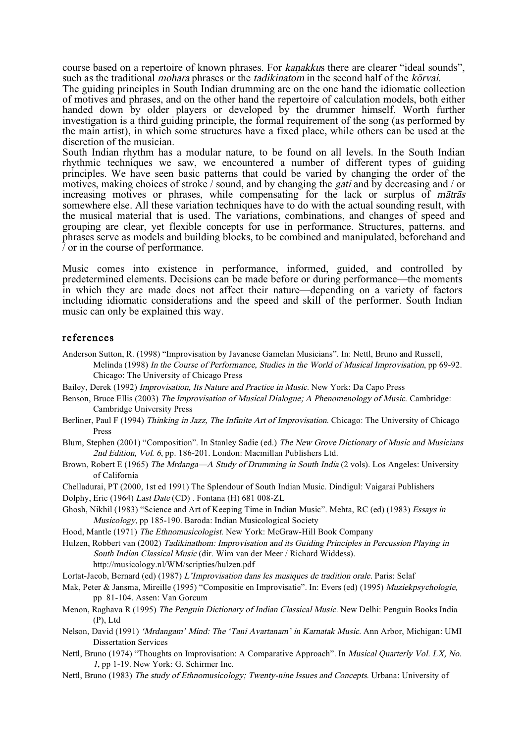course based on a repertoire of known phrases. For *kanakkus* there are clearer "ideal sounds", such as the traditional *mohara* phrases or the *tadikinatom* in the second half of the *korvai*.

The guiding principles in South Indian drumming are on the one hand the idiomatic collection of motives and phrases, and on the other hand the repertoire of calculation models, both either handed down by older players or developed by the drummer himself. Worth further investigation is a third guiding principle, the formal requirement of the song (as performed by the main artist), in which some structures have a fixed place, while others can be used at the discretion of the musician.

South Indian rhythm has a modular nature, to be found on all levels. In the South Indian rhythmic techniques we saw, we encountered a number of different types of guiding principles. We have seen basic patterns that could be varied by changing the order of the motives, making choices of stroke / sound, and by changing the gati and by decreasing and / or increasing motives or phrases, while compensating for the lack or surplus of *mātrās* somewhere else. All these variation techniques have to do with the actual sounding result, with the musical material that is used. The variations, combinations, and changes of speed and grouping are clear, yet flexible concepts for use in performance. Structures, patterns, and phrases serve as models and building blocks, to be combined and manipulated, beforehand and / or in the course of performance.

Music comes into existence in performance, informed, guided, and controlled by predetermined elements. Decisions can be made before or during performance—the moments in which they are made does not affect their nature—depending on a variety of factors including idiomatic considerations and the speed and skill of the performer. South Indian music can only be explained this way.

#### references

- Anderson Sutton, R. (1998) "Improvisation by Javanese Gamelan Musicians". In: Nettl, Bruno and Russell, Melinda (1998) In the Course of Performance, Studies in the World of Musical Improvisation, pp 69-92. Chicago: The University of Chicago Press
- Bailey, Derek (1992) Improvisation, Its Nature and Practice in Music. New York: Da Capo Press
- Benson, Bruce Ellis (2003) The Improvisation of Musical Dialogue; <sup>A</sup> Phenomenology of Music. Cambridge: Cambridge University Press
- Berliner, Paul F (1994) Thinking in Jazz, The Infinite Art of Improvisation. Chicago: The University of Chicago Press
- Blum, Stephen (2001) "Composition". In Stanley Sadie (ed.) The New Grove Dictionary of Music and Musicians 2nd Edition, Vol. <sup>6</sup>, pp. 186-201. London: Macmillan Publishers Ltd.
- Brown, Robert E (1965) The Mrdanga-A Study of Drumming in South India (2 vols). Los Angeles: University of California
- Chelladurai, PT (2000, 1st ed 1991) The Splendour of South Indian Music. Dindigul: Vaigarai Publishers
- Dolphy, Eric (1964) Last Date (CD) . Fontana (H) 681 008-ZL
- Ghosh, Nikhil (1983) "Science and Art of Keeping Time in Indian Music". Mehta, RC (ed) (1983) Essays in Musicology, pp 185-190. Baroda: Indian Musicological Society
- Hood, Mantle (1971) The Ethnomusicologist. New York: McGraw-Hill Book Company

Hulzen, Robbert van (2002) Tadikinathom: Improvisation and its Guiding Principles in Percussion Playing in South Indian Classical Music (dir. Wim van der Meer / Richard Widdess). http://musicology.nl/WM/scripties/hulzen.pdf

- Lortat-Jacob, Bernard (ed) (1987) L'Improvisation dans les musiques de tradition orale. Paris: Selaf
- Mak, Peter & Jansma, Mireille (1995) "Compositie en Improvisatie". In: Evers (ed) (1995) Muziekpsychologie, pp 81-104. Assen: Van Gorcum
- Menon, Raghava R (1995) The Penguin Dictionary of Indian Classical Music. New Delhi: Penguin Books India (P), Ltd
- Nelson, David (1991) 'Mrdangam' Mind: The 'Tani Avartanam' in Karnatak Music. Ann Arbor, Michigan: UMI Dissertation Services
- Nettl, Bruno (1974) "Thoughts on Improvisation: A Comparative Approach". In Musical Quarterly Vol. LX, No. <sup>1</sup>, pp 1-19. New York: G. Schirmer Inc.
- Nettl, Bruno (1983) The study of Ethnomusicology; Twenty-nine Issues and Concepts. Urbana: University of